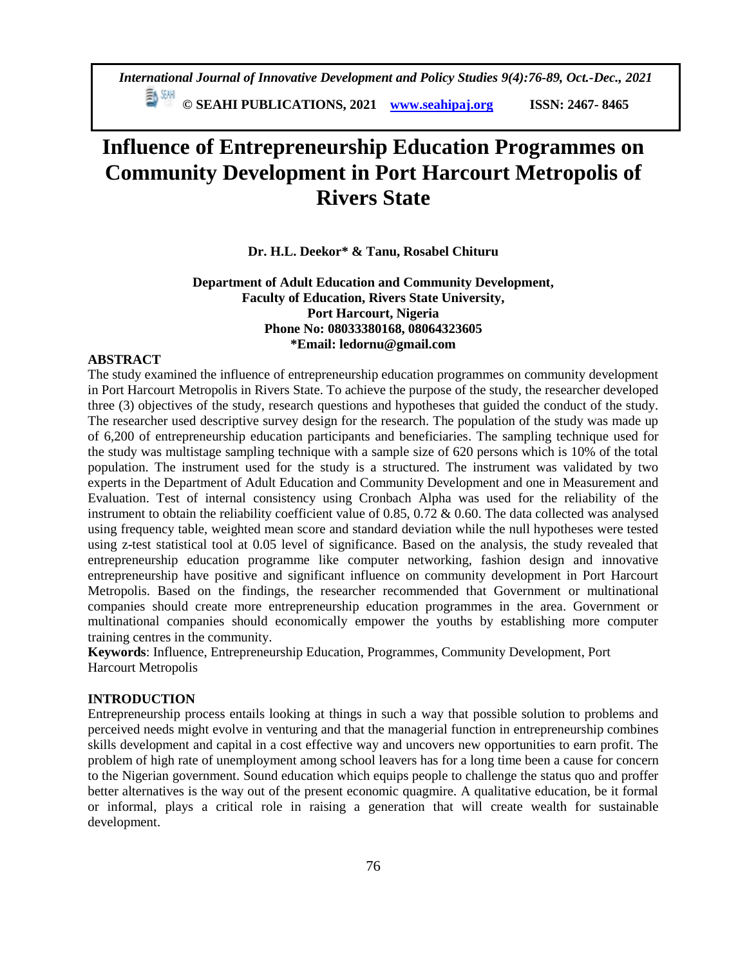*International Journal of Innovative Development and Policy Studies 9(4):76-89, Oct.-Dec., 2021*

**© SEAHI PUBLICATIONS, 2021 [www.seahipaj.org](http://www.seahipaj.org/) ISSN: 2467- 8465**

# **Influence of Entrepreneurship Education Programmes on Community Development in Port Harcourt Metropolis of Rivers State**

**Dr. H.L. Deekor\* & Tanu, Rosabel Chituru**

**Department of Adult Education and Community Development, Faculty of Education, Rivers State University, Port Harcourt, Nigeria Phone No: 08033380168, 08064323605 \*Email: ledornu@gmail.com**

#### **ABSTRACT**

The study examined the influence of entrepreneurship education programmes on community development in Port Harcourt Metropolis in Rivers State. To achieve the purpose of the study, the researcher developed three (3) objectives of the study, research questions and hypotheses that guided the conduct of the study. The researcher used descriptive survey design for the research. The population of the study was made up of 6,200 of entrepreneurship education participants and beneficiaries. The sampling technique used for the study was multistage sampling technique with a sample size of 620 persons which is 10% of the total population. The instrument used for the study is a structured. The instrument was validated by two experts in the Department of Adult Education and Community Development and one in Measurement and Evaluation. Test of internal consistency using Cronbach Alpha was used for the reliability of the instrument to obtain the reliability coefficient value of  $0.85$ ,  $0.72 \& 0.60$ . The data collected was analysed using frequency table, weighted mean score and standard deviation while the null hypotheses were tested using z-test statistical tool at 0.05 level of significance. Based on the analysis, the study revealed that entrepreneurship education programme like computer networking, fashion design and innovative entrepreneurship have positive and significant influence on community development in Port Harcourt Metropolis. Based on the findings, the researcher recommended that Government or multinational companies should create more entrepreneurship education programmes in the area. Government or multinational companies should economically empower the youths by establishing more computer training centres in the community.

**Keywords**: Influence, Entrepreneurship Education, Programmes, Community Development, Port Harcourt Metropolis

# **INTRODUCTION**

Entrepreneurship process entails looking at things in such a way that possible solution to problems and perceived needs might evolve in venturing and that the managerial function in entrepreneurship combines skills development and capital in a cost effective way and uncovers new opportunities to earn profit. The problem of high rate of unemployment among school leavers has for a long time been a cause for concern to the Nigerian government. Sound education which equips people to challenge the status quo and proffer better alternatives is the way out of the present economic quagmire. A qualitative education, be it formal or informal, plays a critical role in raising a generation that will create wealth for sustainable development.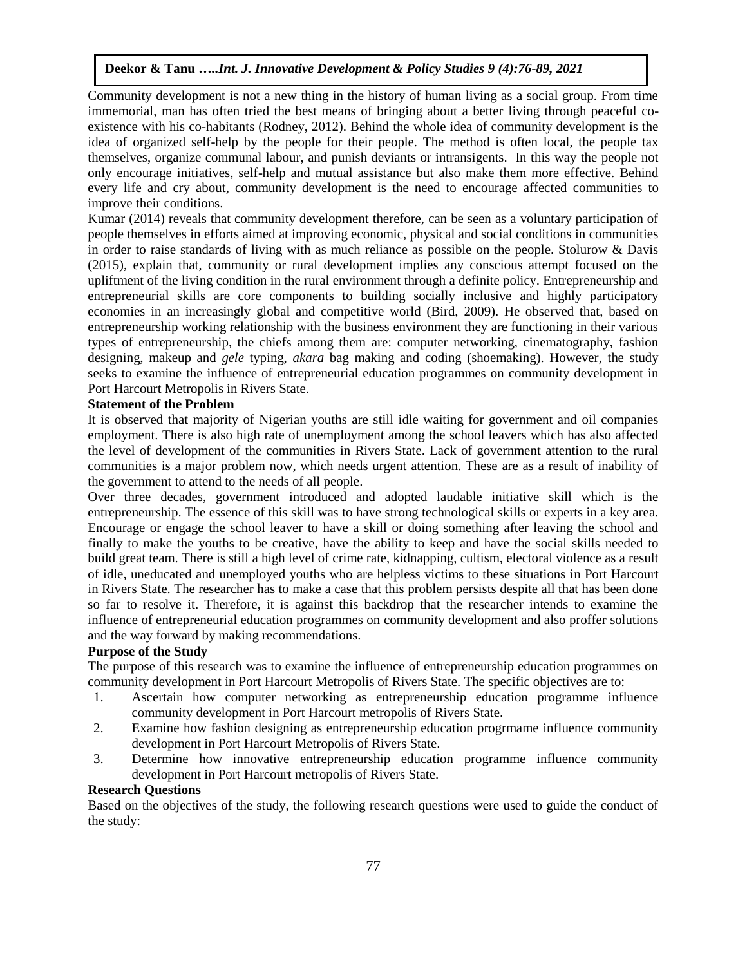Community development is not a new thing in the history of human living as a social group. From time immemorial, man has often tried the best means of bringing about a better living through peaceful coexistence with his co-habitants (Rodney, 2012). Behind the whole idea of community development is the idea of organized self-help by the people for their people. The method is often local, the people tax themselves, organize communal labour, and punish deviants or intransigents. In this way the people not only encourage initiatives, self-help and mutual assistance but also make them more effective. Behind every life and cry about, community development is the need to encourage affected communities to improve their conditions.

Kumar (2014) reveals that community development therefore, can be seen as a voluntary participation of people themselves in efforts aimed at improving economic, physical and social conditions in communities in order to raise standards of living with as much reliance as possible on the people. Stolurow & Davis (2015), explain that, community or rural development implies any conscious attempt focused on the upliftment of the living condition in the rural environment through a definite policy. Entrepreneurship and entrepreneurial skills are core components to building socially inclusive and highly participatory economies in an increasingly global and competitive world (Bird, 2009). He observed that, based on entrepreneurship working relationship with the business environment they are functioning in their various types of entrepreneurship, the chiefs among them are: computer networking, cinematography, fashion designing, makeup and *gele* typing, *akara* bag making and coding (shoemaking). However, the study seeks to examine the influence of entrepreneurial education programmes on community development in Port Harcourt Metropolis in Rivers State.

# **Statement of the Problem**

It is observed that majority of Nigerian youths are still idle waiting for government and oil companies employment. There is also high rate of unemployment among the school leavers which has also affected the level of development of the communities in Rivers State. Lack of government attention to the rural communities is a major problem now, which needs urgent attention. These are as a result of inability of the government to attend to the needs of all people.

Over three decades, government introduced and adopted laudable initiative skill which is the entrepreneurship. The essence of this skill was to have strong technological skills or experts in a key area. Encourage or engage the school leaver to have a skill or doing something after leaving the school and finally to make the youths to be creative, have the ability to keep and have the social skills needed to build great team. There is still a high level of crime rate, kidnapping, cultism, electoral violence as a result of idle, uneducated and unemployed youths who are helpless victims to these situations in Port Harcourt in Rivers State. The researcher has to make a case that this problem persists despite all that has been done so far to resolve it. Therefore, it is against this backdrop that the researcher intends to examine the influence of entrepreneurial education programmes on community development and also proffer solutions and the way forward by making recommendations.

# **Purpose of the Study**

The purpose of this research was to examine the influence of entrepreneurship education programmes on community development in Port Harcourt Metropolis of Rivers State. The specific objectives are to:

- 1. Ascertain how computer networking as entrepreneurship education programme influence community development in Port Harcourt metropolis of Rivers State.
- 2. Examine how fashion designing as entrepreneurship education progrmame influence community development in Port Harcourt Metropolis of Rivers State.
- 3. Determine how innovative entrepreneurship education programme influence community development in Port Harcourt metropolis of Rivers State.

#### **Research Questions**

Based on the objectives of the study, the following research questions were used to guide the conduct of the study: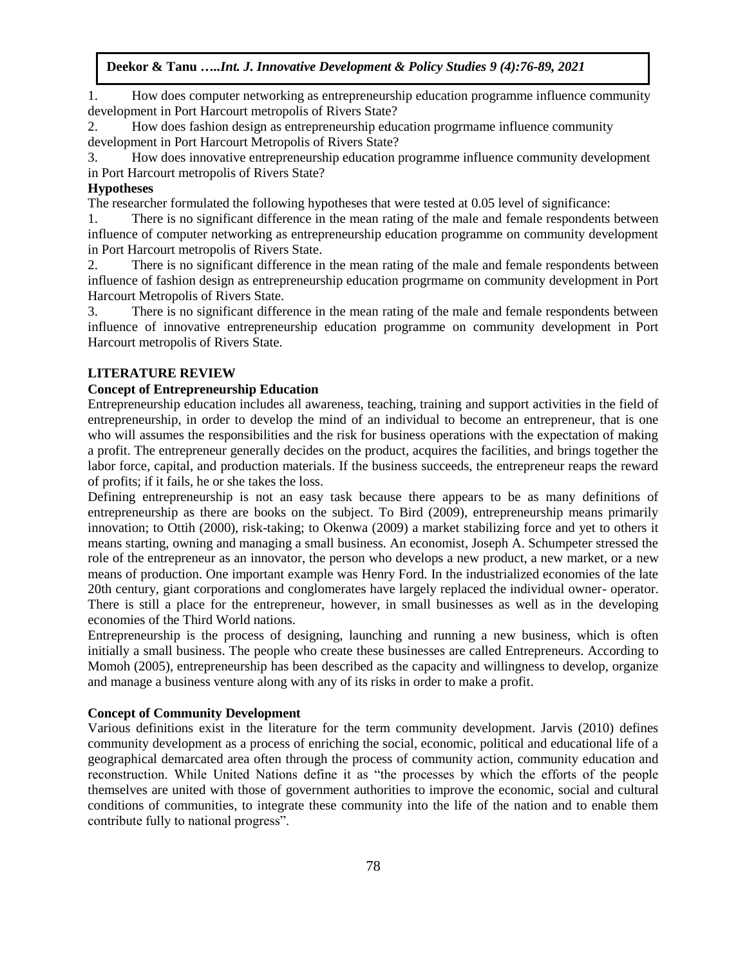1. How does computer networking as entrepreneurship education programme influence community development in Port Harcourt metropolis of Rivers State?

2. How does fashion design as entrepreneurship education progrmame influence community development in Port Harcourt Metropolis of Rivers State?

3. How does innovative entrepreneurship education programme influence community development in Port Harcourt metropolis of Rivers State?

# **Hypotheses**

The researcher formulated the following hypotheses that were tested at 0.05 level of significance:

1. There is no significant difference in the mean rating of the male and female respondents between influence of computer networking as entrepreneurship education programme on community development in Port Harcourt metropolis of Rivers State.

2. There is no significant difference in the mean rating of the male and female respondents between influence of fashion design as entrepreneurship education progrmame on community development in Port Harcourt Metropolis of Rivers State.

3. There is no significant difference in the mean rating of the male and female respondents between influence of innovative entrepreneurship education programme on community development in Port Harcourt metropolis of Rivers State.

# **LITERATURE REVIEW**

# **Concept of Entrepreneurship Education**

Entrepreneurship education includes all awareness, teaching, training and support activities in the field of entrepreneurship, in order to develop the mind of an individual to become an entrepreneur, that is one who will assumes the responsibilities and the risk for business operations with the expectation of making a profit. The entrepreneur generally decides on the product, acquires the facilities, and brings together the labor force, capital, and production materials. If the business succeeds, the entrepreneur reaps the reward of profits; if it fails, he or she takes the loss.

Defining entrepreneurship is not an easy task because there appears to be as many definitions of entrepreneurship as there are books on the subject. To Bird (2009), entrepreneurship means primarily innovation; to Ottih (2000), risk-taking; to Okenwa (2009) a market stabilizing force and yet to others it means starting, owning and managing a small business. An economist, Joseph A. Schumpeter stressed the role of the entrepreneur as an innovator, the person who develops a new product, a new market, or a new means of production. One important example was Henry Ford. In the industrialized economies of the late 20th century, giant corporations and conglomerates have largely replaced the individual owner- operator. There is still a place for the entrepreneur, however, in small businesses as well as in the developing economies of the Third World nations.

Entrepreneurship is the process of designing, launching and running a new business, which is often initially a small business. The people who create these businesses are called Entrepreneurs. According to Momoh (2005), entrepreneurship has been described as the capacity and willingness to develop, organize and manage a business venture along with any of its risks in order to make a profit.

#### **Concept of Community Development**

Various definitions exist in the literature for the term community development. Jarvis (2010) defines community development as a process of enriching the social, economic, political and educational life of a geographical demarcated area often through the process of community action, community education and reconstruction. While United Nations define it as "the processes by which the efforts of the people themselves are united with those of government authorities to improve the economic, social and cultural conditions of communities, to integrate these community into the life of the nation and to enable them contribute fully to national progress".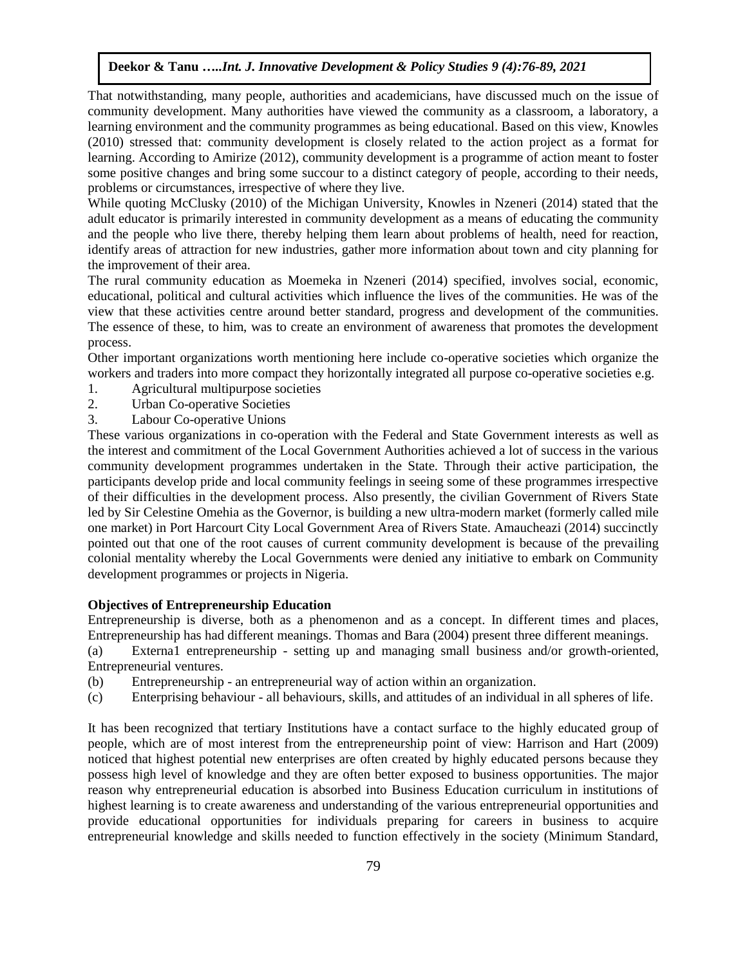That notwithstanding, many people, authorities and academicians, have discussed much on the issue of community development. Many authorities have viewed the community as a classroom, a laboratory, a learning environment and the community programmes as being educational. Based on this view, Knowles (2010) stressed that: community development is closely related to the action project as a format for learning. According to Amirize (2012), community development is a programme of action meant to foster some positive changes and bring some succour to a distinct category of people, according to their needs, problems or circumstances, irrespective of where they live.

While quoting McClusky (2010) of the Michigan University, Knowles in Nzeneri (2014) stated that the adult educator is primarily interested in community development as a means of educating the community and the people who live there, thereby helping them learn about problems of health, need for reaction, identify areas of attraction for new industries, gather more information about town and city planning for the improvement of their area.

The rural community education as Moemeka in Nzeneri (2014) specified, involves social, economic, educational, political and cultural activities which influence the lives of the communities. He was of the view that these activities centre around better standard, progress and development of the communities. The essence of these, to him, was to create an environment of awareness that promotes the development process.

Other important organizations worth mentioning here include co-operative societies which organize the workers and traders into more compact they horizontally integrated all purpose co-operative societies e.g.

- 1. Agricultural multipurpose societies
- 2. Urban Co-operative Societies
- 3. Labour Co-operative Unions

These various organizations in co-operation with the Federal and State Government interests as well as the interest and commitment of the Local Government Authorities achieved a lot of success in the various community development programmes undertaken in the State. Through their active participation, the participants develop pride and local community feelings in seeing some of these programmes irrespective of their difficulties in the development process. Also presently, the civilian Government of Rivers State led by Sir Celestine Omehia as the Governor, is building a new ultra-modern market (formerly called mile one market) in Port Harcourt City Local Government Area of Rivers State. Amaucheazi (2014) succinctly pointed out that one of the root causes of current community development is because of the prevailing colonial mentality whereby the Local Governments were denied any initiative to embark on Community development programmes or projects in Nigeria.

#### **Objectives of Entrepreneurship Education**

Entrepreneurship is diverse, both as a phenomenon and as a concept. In different times and places, Entrepreneurship has had different meanings. Thomas and Bara (2004) present three different meanings.

(a) Externa1 entrepreneurship - setting up and managing small business and/or growth-oriented, Entrepreneurial ventures.

- (b) Entrepreneurship an entrepreneurial way of action within an organization.
- (c) Enterprising behaviour all behaviours, skills, and attitudes of an individual in all spheres of life.

It has been recognized that tertiary Institutions have a contact surface to the highly educated group of people, which are of most interest from the entrepreneurship point of view: Harrison and Hart (2009) noticed that highest potential new enterprises are often created by highly educated persons because they possess high level of knowledge and they are often better exposed to business opportunities. The major reason why entrepreneurial education is absorbed into Business Education curriculum in institutions of highest learning is to create awareness and understanding of the various entrepreneurial opportunities and provide educational opportunities for individuals preparing for careers in business to acquire entrepreneurial knowledge and skills needed to function effectively in the society (Minimum Standard,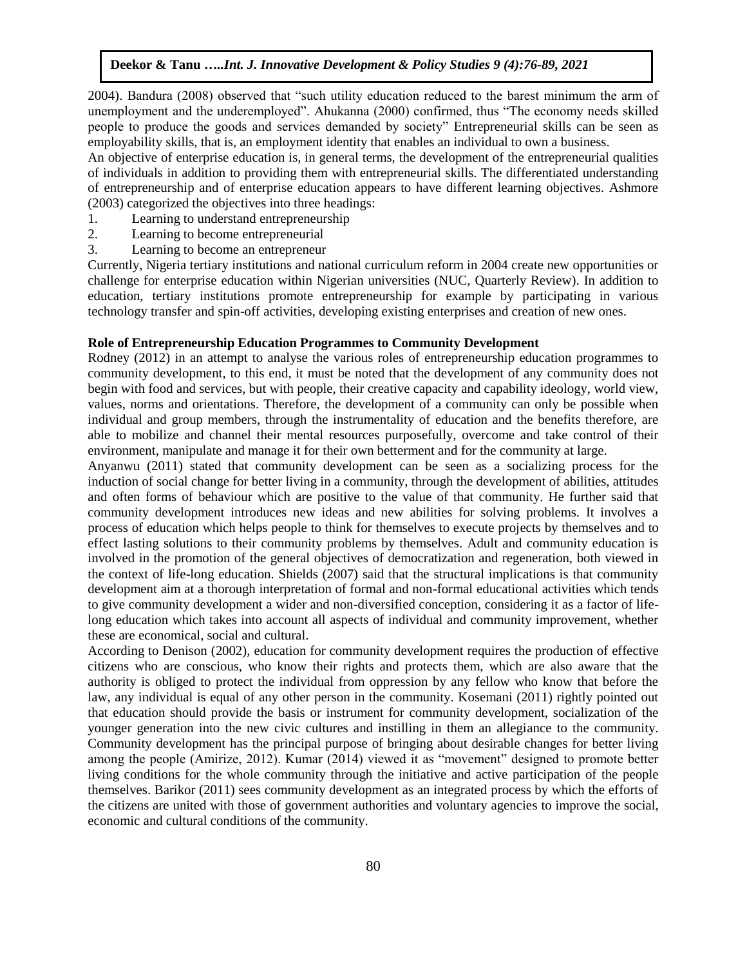2004). Bandura (2008) observed that "such utility education reduced to the barest minimum the arm of unemployment and the underemployed". Ahukanna (2000) confirmed, thus "The economy needs skilled people to produce the goods and services demanded by society" Entrepreneurial skills can be seen as employability skills, that is, an employment identity that enables an individual to own a business.

An objective of enterprise education is, in general terms, the development of the entrepreneurial qualities of individuals in addition to providing them with entrepreneurial skills. The differentiated understanding of entrepreneurship and of enterprise education appears to have different learning objectives. Ashmore (2003) categorized the objectives into three headings:

- 1. Learning to understand entrepreneurship
- 2. Learning to become entrepreneurial
- 3. Learning to become an entrepreneur

Currently, Nigeria tertiary institutions and national curriculum reform in 2004 create new opportunities or challenge for enterprise education within Nigerian universities (NUC, Quarterly Review). In addition to education, tertiary institutions promote entrepreneurship for example by participating in various technology transfer and spin-off activities, developing existing enterprises and creation of new ones.

# **Role of Entrepreneurship Education Programmes to Community Development**

Rodney (2012) in an attempt to analyse the various roles of entrepreneurship education programmes to community development, to this end, it must be noted that the development of any community does not begin with food and services, but with people, their creative capacity and capability ideology, world view, values, norms and orientations. Therefore, the development of a community can only be possible when individual and group members, through the instrumentality of education and the benefits therefore, are able to mobilize and channel their mental resources purposefully, overcome and take control of their environment, manipulate and manage it for their own betterment and for the community at large.

Anyanwu (2011) stated that community development can be seen as a socializing process for the induction of social change for better living in a community, through the development of abilities, attitudes and often forms of behaviour which are positive to the value of that community. He further said that community development introduces new ideas and new abilities for solving problems. It involves a process of education which helps people to think for themselves to execute projects by themselves and to effect lasting solutions to their community problems by themselves. Adult and community education is involved in the promotion of the general objectives of democratization and regeneration, both viewed in the context of life-long education. Shields (2007) said that the structural implications is that community development aim at a thorough interpretation of formal and non-formal educational activities which tends to give community development a wider and non-diversified conception, considering it as a factor of lifelong education which takes into account all aspects of individual and community improvement, whether these are economical, social and cultural.

According to Denison (2002), education for community development requires the production of effective citizens who are conscious, who know their rights and protects them, which are also aware that the authority is obliged to protect the individual from oppression by any fellow who know that before the law, any individual is equal of any other person in the community. Kosemani (2011) rightly pointed out that education should provide the basis or instrument for community development, socialization of the younger generation into the new civic cultures and instilling in them an allegiance to the community. Community development has the principal purpose of bringing about desirable changes for better living among the people (Amirize, 2012). Kumar (2014) viewed it as "movement" designed to promote better living conditions for the whole community through the initiative and active participation of the people themselves. Barikor (2011) sees community development as an integrated process by which the efforts of the citizens are united with those of government authorities and voluntary agencies to improve the social, economic and cultural conditions of the community.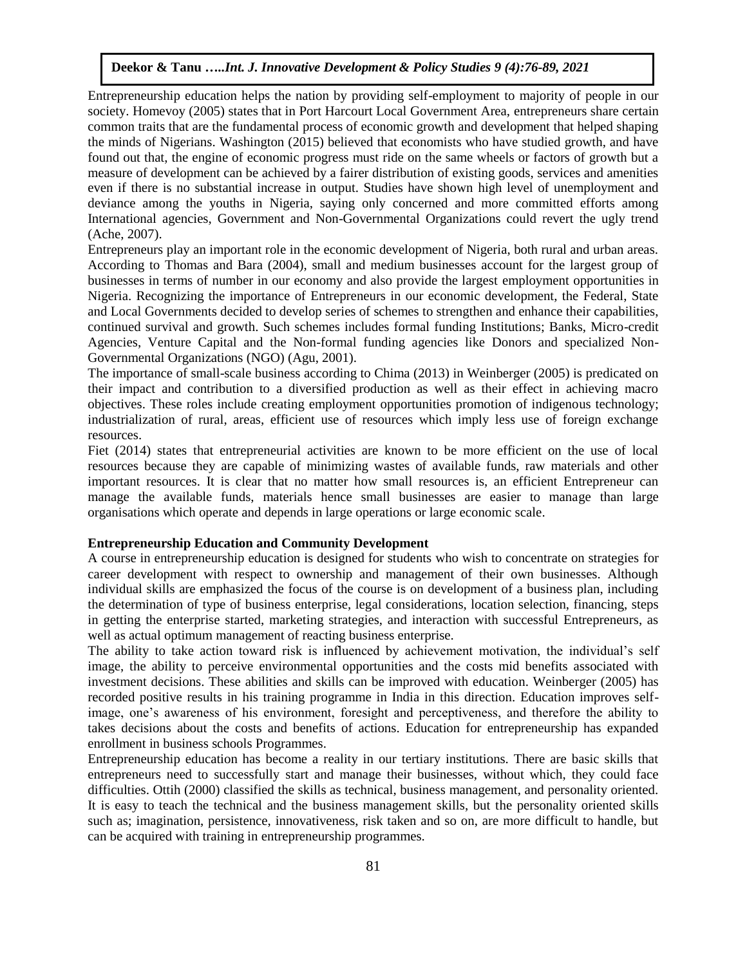Entrepreneurship education helps the nation by providing self-employment to majority of people in our society. Homevoy (2005) states that in Port Harcourt Local Government Area, entrepreneurs share certain common traits that are the fundamental process of economic growth and development that helped shaping the minds of Nigerians. Washington (2015) believed that economists who have studied growth, and have found out that, the engine of economic progress must ride on the same wheels or factors of growth but a measure of development can be achieved by a fairer distribution of existing goods, services and amenities even if there is no substantial increase in output. Studies have shown high level of unemployment and deviance among the youths in Nigeria, saying only concerned and more committed efforts among International agencies, Government and Non-Governmental Organizations could revert the ugly trend (Ache, 2007).

Entrepreneurs play an important role in the economic development of Nigeria, both rural and urban areas. According to Thomas and Bara (2004), small and medium businesses account for the largest group of businesses in terms of number in our economy and also provide the largest employment opportunities in Nigeria. Recognizing the importance of Entrepreneurs in our economic development, the Federal, State and Local Governments decided to develop series of schemes to strengthen and enhance their capabilities, continued survival and growth. Such schemes includes formal funding Institutions; Banks, Micro-credit Agencies, Venture Capital and the Non-formal funding agencies like Donors and specialized Non-Governmental Organizations (NGO) (Agu, 2001).

The importance of small-scale business according to Chima (2013) in Weinberger (2005) is predicated on their impact and contribution to a diversified production as well as their effect in achieving macro objectives. These roles include creating employment opportunities promotion of indigenous technology; industrialization of rural, areas, efficient use of resources which imply less use of foreign exchange resources.

Fiet (2014) states that entrepreneurial activities are known to be more efficient on the use of local resources because they are capable of minimizing wastes of available funds, raw materials and other important resources. It is clear that no matter how small resources is, an efficient Entrepreneur can manage the available funds, materials hence small businesses are easier to manage than large organisations which operate and depends in large operations or large economic scale.

# **Entrepreneurship Education and Community Development**

A course in entrepreneurship education is designed for students who wish to concentrate on strategies for career development with respect to ownership and management of their own businesses. Although individual skills are emphasized the focus of the course is on development of a business plan, including the determination of type of business enterprise, legal considerations, location selection, financing, steps in getting the enterprise started, marketing strategies, and interaction with successful Entrepreneurs, as well as actual optimum management of reacting business enterprise.

The ability to take action toward risk is influenced by achievement motivation, the individual's self image, the ability to perceive environmental opportunities and the costs mid benefits associated with investment decisions. These abilities and skills can be improved with education. Weinberger (2005) has recorded positive results in his training programme in India in this direction. Education improves selfimage, one's awareness of his environment, foresight and perceptiveness, and therefore the ability to takes decisions about the costs and benefits of actions. Education for entrepreneurship has expanded enrollment in business schools Programmes.

Entrepreneurship education has become a reality in our tertiary institutions. There are basic skills that entrepreneurs need to successfully start and manage their businesses, without which, they could face difficulties. Ottih (2000) classified the skills as technical, business management, and personality oriented. It is easy to teach the technical and the business management skills, but the personality oriented skills such as; imagination, persistence, innovativeness, risk taken and so on, are more difficult to handle, but can be acquired with training in entrepreneurship programmes.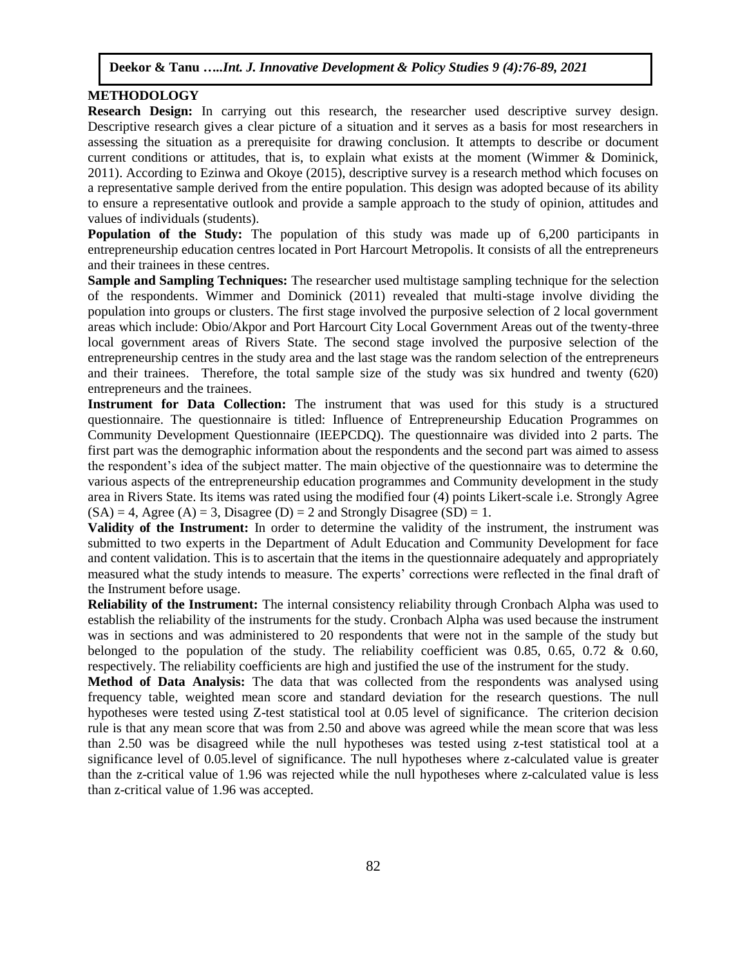# **METHODOLOGY**

**Research Design:** In carrying out this research, the researcher used descriptive survey design. Descriptive research gives a clear picture of a situation and it serves as a basis for most researchers in assessing the situation as a prerequisite for drawing conclusion. It attempts to describe or document current conditions or attitudes, that is, to explain what exists at the moment (Wimmer & Dominick, 2011). According to Ezinwa and Okoye (2015), descriptive survey is a research method which focuses on a representative sample derived from the entire population. This design was adopted because of its ability to ensure a representative outlook and provide a sample approach to the study of opinion, attitudes and values of individuals (students).

**Population of the Study:** The population of this study was made up of 6,200 participants in entrepreneurship education centres located in Port Harcourt Metropolis. It consists of all the entrepreneurs and their trainees in these centres.

**Sample and Sampling Techniques:** The researcher used multistage sampling technique for the selection of the respondents. Wimmer and Dominick (2011) revealed that multi-stage involve dividing the population into groups or clusters. The first stage involved the purposive selection of 2 local government areas which include: Obio/Akpor and Port Harcourt City Local Government Areas out of the twenty-three local government areas of Rivers State. The second stage involved the purposive selection of the entrepreneurship centres in the study area and the last stage was the random selection of the entrepreneurs and their trainees. Therefore, the total sample size of the study was six hundred and twenty (620) entrepreneurs and the trainees.

**Instrument for Data Collection:** The instrument that was used for this study is a structured questionnaire. The questionnaire is titled: Influence of Entrepreneurship Education Programmes on Community Development Questionnaire (IEEPCDQ). The questionnaire was divided into 2 parts. The first part was the demographic information about the respondents and the second part was aimed to assess the respondent's idea of the subject matter. The main objective of the questionnaire was to determine the various aspects of the entrepreneurship education programmes and Community development in the study area in Rivers State. Its items was rated using the modified four (4) points Likert-scale i.e. Strongly Agree  $(SA) = 4$ , Agree  $(A) = 3$ , Disagree  $(D) = 2$  and Strongly Disagree  $(SD) = 1$ .

**Validity of the Instrument:** In order to determine the validity of the instrument, the instrument was submitted to two experts in the Department of Adult Education and Community Development for face and content validation. This is to ascertain that the items in the questionnaire adequately and appropriately measured what the study intends to measure. The experts' corrections were reflected in the final draft of the Instrument before usage.

**Reliability of the Instrument:** The internal consistency reliability through Cronbach Alpha was used to establish the reliability of the instruments for the study. Cronbach Alpha was used because the instrument was in sections and was administered to 20 respondents that were not in the sample of the study but belonged to the population of the study. The reliability coefficient was 0.85, 0.65, 0.72  $\&$  0.60, respectively. The reliability coefficients are high and justified the use of the instrument for the study.

**Method of Data Analysis:** The data that was collected from the respondents was analysed using frequency table, weighted mean score and standard deviation for the research questions. The null hypotheses were tested using Z-test statistical tool at 0.05 level of significance. The criterion decision rule is that any mean score that was from 2.50 and above was agreed while the mean score that was less than 2.50 was be disagreed while the null hypotheses was tested using z-test statistical tool at a significance level of 0.05.level of significance. The null hypotheses where z-calculated value is greater than the z-critical value of 1.96 was rejected while the null hypotheses where z-calculated value is less than z-critical value of 1.96 was accepted.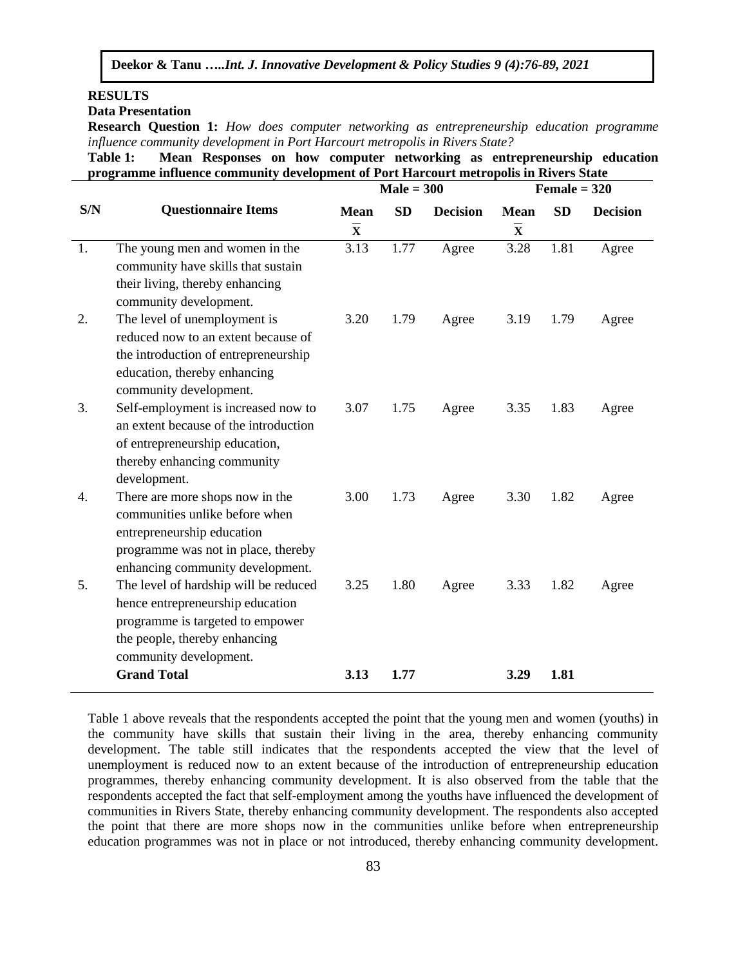# **RESULTS**

**Data Presentation** 

**Research Question 1:** *How does computer networking as entrepreneurship education programme influence community development in Port Harcourt metropolis in Rivers State?*

**Table 1: Mean Responses on how computer networking as entrepreneurship education programme influence community development of Port Harcourt metropolis in Rivers State**

|     |                                       | $Male = 300$                       |           | Female $= 320$  |                         |           |                 |
|-----|---------------------------------------|------------------------------------|-----------|-----------------|-------------------------|-----------|-----------------|
| S/N | <b>Questionnaire Items</b>            | <b>Mean</b>                        | <b>SD</b> | <b>Decision</b> | <b>Mean</b>             | <b>SD</b> | <b>Decision</b> |
|     |                                       | $\overline{\overline{\mathbf{X}}}$ |           |                 | $\overline{\mathbf{X}}$ |           |                 |
| 1.  | The young men and women in the        | 3.13                               | 1.77      | Agree           | 3.28                    | 1.81      | Agree           |
|     | community have skills that sustain    |                                    |           |                 |                         |           |                 |
|     | their living, thereby enhancing       |                                    |           |                 |                         |           |                 |
|     | community development.                |                                    |           |                 |                         |           |                 |
| 2.  | The level of unemployment is          | 3.20                               | 1.79      | Agree           | 3.19                    | 1.79      | Agree           |
|     | reduced now to an extent because of   |                                    |           |                 |                         |           |                 |
|     | the introduction of entrepreneurship  |                                    |           |                 |                         |           |                 |
|     | education, thereby enhancing          |                                    |           |                 |                         |           |                 |
|     | community development.                |                                    |           |                 |                         |           |                 |
| 3.  | Self-employment is increased now to   | 3.07                               | 1.75      | Agree           | 3.35                    | 1.83      | Agree           |
|     | an extent because of the introduction |                                    |           |                 |                         |           |                 |
|     | of entrepreneurship education,        |                                    |           |                 |                         |           |                 |
|     | thereby enhancing community           |                                    |           |                 |                         |           |                 |
|     | development.                          |                                    |           |                 |                         |           |                 |
| 4.  | There are more shops now in the       | 3.00                               | 1.73      | Agree           | 3.30                    | 1.82      | Agree           |
|     | communities unlike before when        |                                    |           |                 |                         |           |                 |
|     | entrepreneurship education            |                                    |           |                 |                         |           |                 |
|     | programme was not in place, thereby   |                                    |           |                 |                         |           |                 |
|     | enhancing community development.      |                                    |           |                 |                         |           |                 |
| 5.  | The level of hardship will be reduced | 3.25                               | 1.80      | Agree           | 3.33                    | 1.82      | Agree           |
|     | hence entrepreneurship education      |                                    |           |                 |                         |           |                 |
|     | programme is targeted to empower      |                                    |           |                 |                         |           |                 |
|     | the people, thereby enhancing         |                                    |           |                 |                         |           |                 |
|     | community development.                |                                    |           |                 |                         |           |                 |
|     | <b>Grand Total</b>                    | 3.13                               | 1.77      |                 | 3.29                    | 1.81      |                 |

Table 1 above reveals that the respondents accepted the point that the young men and women (youths) in the community have skills that sustain their living in the area, thereby enhancing community development. The table still indicates that the respondents accepted the view that the level of unemployment is reduced now to an extent because of the introduction of entrepreneurship education programmes, thereby enhancing community development. It is also observed from the table that the respondents accepted the fact that self-employment among the youths have influenced the development of communities in Rivers State, thereby enhancing community development. The respondents also accepted the point that there are more shops now in the communities unlike before when entrepreneurship education programmes was not in place or not introduced, thereby enhancing community development.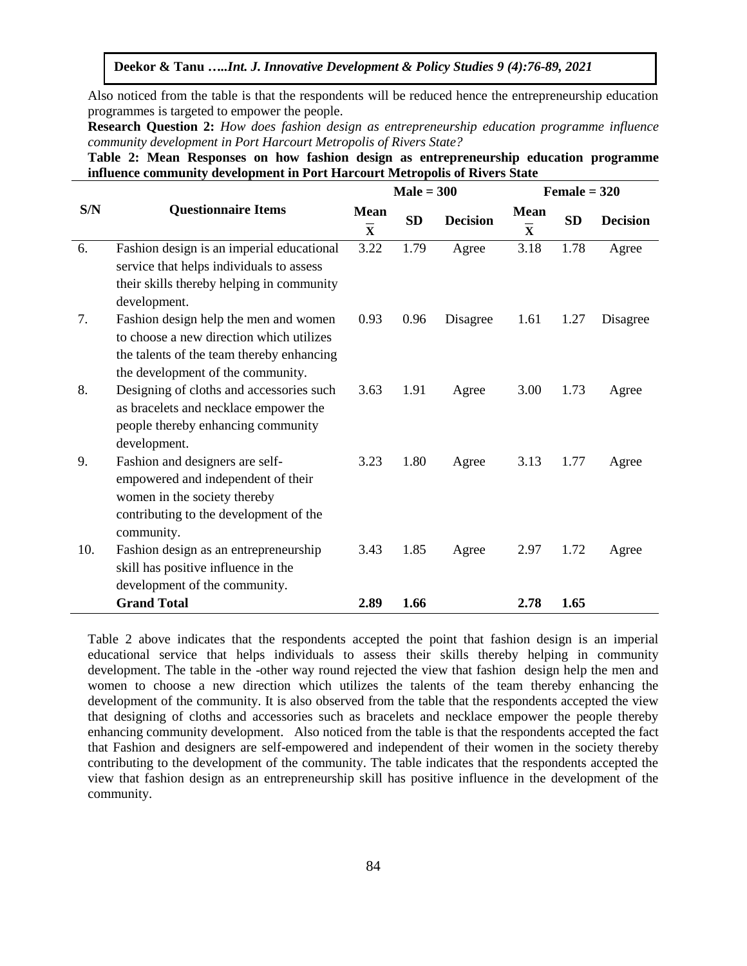Also noticed from the table is that the respondents will be reduced hence the entrepreneurship education programmes is targeted to empower the people.

**Research Question 2:** *How does fashion design as entrepreneurship education programme influence community development in Port Harcourt Metropolis of Rivers State?* 

**Table 2: Mean Responses on how fashion design as entrepreneurship education programme influence community development in Port Harcourt Metropolis of Rivers State**

|     |                                                                                                                                                                     | $Male = 300$                           |           | $Female = 320$  |                                                   |           |                 |
|-----|---------------------------------------------------------------------------------------------------------------------------------------------------------------------|----------------------------------------|-----------|-----------------|---------------------------------------------------|-----------|-----------------|
| S/N | <b>Questionnaire Items</b>                                                                                                                                          | <b>Mean</b><br>$\overline{\mathbf{x}}$ | <b>SD</b> | <b>Decision</b> | <b>Mean</b><br>$\overline{\overline{\mathbf{X}}}$ | <b>SD</b> | <b>Decision</b> |
| 6.  | Fashion design is an imperial educational<br>service that helps individuals to assess<br>their skills thereby helping in community<br>development.                  | 3.22                                   | 1.79      | Agree           | 3.18                                              | 1.78      | Agree           |
| 7.  | Fashion design help the men and women<br>to choose a new direction which utilizes<br>the talents of the team thereby enhancing<br>the development of the community. | 0.93                                   | 0.96      | Disagree        | 1.61                                              | 1.27      | Disagree        |
| 8.  | Designing of cloths and accessories such<br>as bracelets and necklace empower the<br>people thereby enhancing community<br>development.                             | 3.63                                   | 1.91      | Agree           | 3.00                                              | 1.73      | Agree           |
| 9.  | Fashion and designers are self-<br>empowered and independent of their<br>women in the society thereby<br>contributing to the development of the<br>community.       | 3.23                                   | 1.80      | Agree           | 3.13                                              | 1.77      | Agree           |
| 10. | Fashion design as an entrepreneurship<br>skill has positive influence in the<br>development of the community.                                                       | 3.43                                   | 1.85      | Agree           | 2.97                                              | 1.72      | Agree           |
|     | <b>Grand Total</b>                                                                                                                                                  | 2.89                                   | 1.66      |                 | 2.78                                              | 1.65      |                 |

Table 2 above indicates that the respondents accepted the point that fashion design is an imperial educational service that helps individuals to assess their skills thereby helping in community development. The table in the -other way round rejected the view that fashion design help the men and women to choose a new direction which utilizes the talents of the team thereby enhancing the development of the community. It is also observed from the table that the respondents accepted the view that designing of cloths and accessories such as bracelets and necklace empower the people thereby enhancing community development. Also noticed from the table is that the respondents accepted the fact that Fashion and designers are self-empowered and independent of their women in the society thereby contributing to the development of the community. The table indicates that the respondents accepted the view that fashion design as an entrepreneurship skill has positive influence in the development of the community.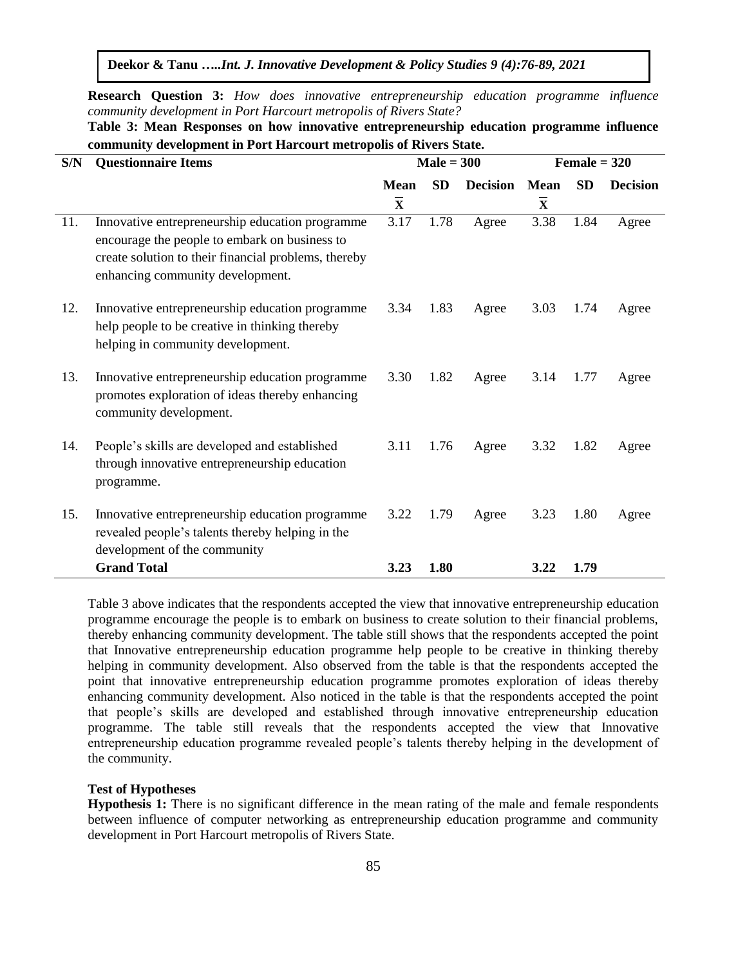**Research Question 3:** *How does innovative entrepreneurship education programme influence community development in Port Harcourt metropolis of Rivers State?* 

| Table 3: Mean Responses on how innovative entrepreneurship education programme influence |  |  |  |  |  |  |  |  |  |
|------------------------------------------------------------------------------------------|--|--|--|--|--|--|--|--|--|
| community development in Port Harcourt metropolis of Rivers State.                       |  |  |  |  |  |  |  |  |  |

| S/N | <b>Questionnaire Items</b>                                                                                                                                                                   | $Male = 300$            |           |                 | Female $= 320$          |           |                 |  |
|-----|----------------------------------------------------------------------------------------------------------------------------------------------------------------------------------------------|-------------------------|-----------|-----------------|-------------------------|-----------|-----------------|--|
|     |                                                                                                                                                                                              | <b>Mean</b>             | <b>SD</b> | <b>Decision</b> | <b>Mean</b>             | <b>SD</b> | <b>Decision</b> |  |
|     |                                                                                                                                                                                              | $\overline{\mathbf{x}}$ |           |                 | $\overline{\mathbf{x}}$ |           |                 |  |
| 11. | Innovative entrepreneurship education programme<br>encourage the people to embark on business to<br>create solution to their financial problems, thereby<br>enhancing community development. | 3.17                    | 1.78      | Agree           | 3.38                    | 1.84      | Agree           |  |
| 12. | Innovative entrepreneurship education programme<br>help people to be creative in thinking thereby<br>helping in community development.                                                       | 3.34                    | 1.83      | Agree           | 3.03                    | 1.74      | Agree           |  |
| 13. | Innovative entrepreneurship education programme<br>promotes exploration of ideas thereby enhancing<br>community development.                                                                 | 3.30                    | 1.82      | Agree           | 3.14                    | 1.77      | Agree           |  |
| 14. | People's skills are developed and established<br>through innovative entrepreneurship education<br>programme.                                                                                 | 3.11                    | 1.76      | Agree           | 3.32                    | 1.82      | Agree           |  |
| 15. | Innovative entrepreneurship education programme<br>revealed people's talents thereby helping in the<br>development of the community                                                          | 3.22                    | 1.79      | Agree           | 3.23                    | 1.80      | Agree           |  |
|     | <b>Grand Total</b>                                                                                                                                                                           | 3.23                    | 1.80      |                 | 3.22                    | 1.79      |                 |  |

Table 3 above indicates that the respondents accepted the view that innovative entrepreneurship education programme encourage the people is to embark on business to create solution to their financial problems, thereby enhancing community development. The table still shows that the respondents accepted the point that Innovative entrepreneurship education programme help people to be creative in thinking thereby helping in community development. Also observed from the table is that the respondents accepted the point that innovative entrepreneurship education programme promotes exploration of ideas thereby enhancing community development. Also noticed in the table is that the respondents accepted the point that people's skills are developed and established through innovative entrepreneurship education programme. The table still reveals that the respondents accepted the view that Innovative entrepreneurship education programme revealed people's talents thereby helping in the development of the community.

#### **Test of Hypotheses**

**Hypothesis 1:** There is no significant difference in the mean rating of the male and female respondents between influence of computer networking as entrepreneurship education programme and community development in Port Harcourt metropolis of Rivers State.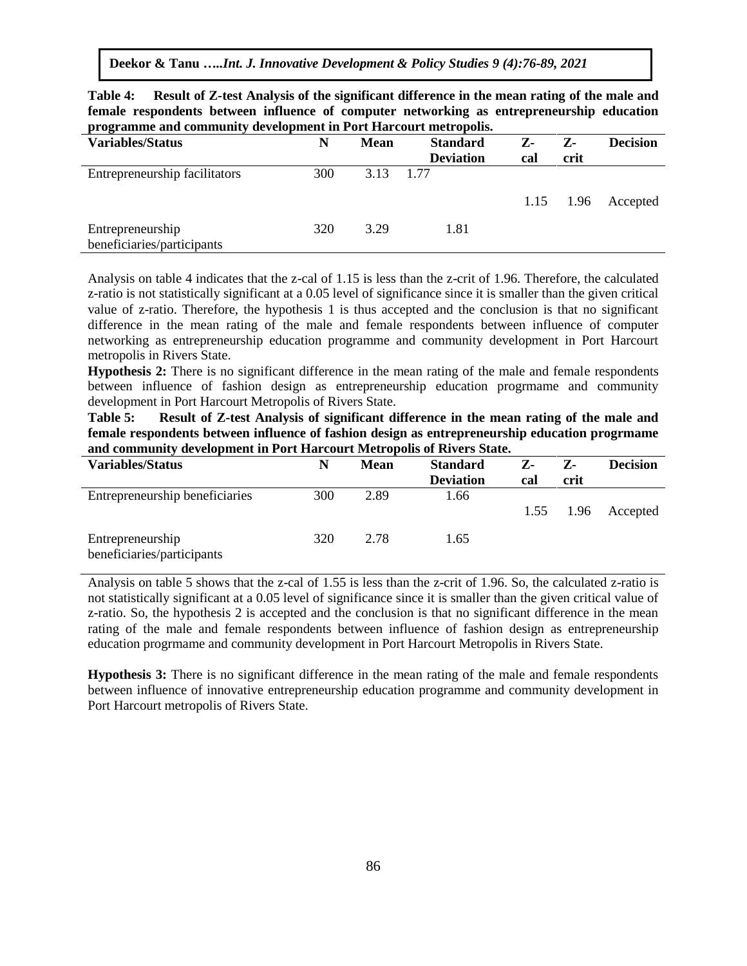**Table 4: Result of Z-test Analysis of the significant difference in the mean rating of the male and female respondents between influence of computer networking as entrepreneurship education programme and community development in Port Harcourt metropolis.**

| programme wave continue                        |     |             |                  |     |             |                 |
|------------------------------------------------|-----|-------------|------------------|-----|-------------|-----------------|
| <b>Variables/Status</b>                        | N   | <b>Mean</b> | <b>Standard</b>  | Z-  | $Z$ -       | <b>Decision</b> |
|                                                |     |             | <b>Deviation</b> | cal | crit        |                 |
| Entrepreneurship facilitators                  | 300 | 3.13        | 1 77             |     |             |                 |
|                                                |     |             |                  |     | $1.15$ 1.96 | Accepted        |
| Entrepreneurship<br>beneficiaries/participants | 320 | 3.29        | 1.81             |     |             |                 |
|                                                |     |             |                  |     |             |                 |

Analysis on table 4 indicates that the z-cal of 1.15 is less than the z-crit of 1.96. Therefore, the calculated z-ratio is not statistically significant at a 0.05 level of significance since it is smaller than the given critical value of z-ratio. Therefore, the hypothesis 1 is thus accepted and the conclusion is that no significant difference in the mean rating of the male and female respondents between influence of computer networking as entrepreneurship education programme and community development in Port Harcourt metropolis in Rivers State.

**Hypothesis 2:** There is no significant difference in the mean rating of the male and female respondents between influence of fashion design as entrepreneurship education progrmame and community development in Port Harcourt Metropolis of Rivers State.

**Table 5: Result of Z-test Analysis of significant difference in the mean rating of the male and female respondents between influence of fashion design as entrepreneurship education progrmame and community development in Port Harcourt Metropolis of Rivers State.**

| <b>Variables/Status</b>                        | N   | Mean | <b>Standard</b>  | $Z$ - | $Z -$ | <b>Decision</b> |
|------------------------------------------------|-----|------|------------------|-------|-------|-----------------|
|                                                |     |      | <b>Deviation</b> | cal   | crit  |                 |
| Entrepreneurship beneficiaries                 | 300 | 2.89 | 1.66             |       |       |                 |
|                                                |     |      |                  | 1.55  | 1.96  | Accepted        |
| Entrepreneurship<br>beneficiaries/participants | 320 | 2.78 | 1.65             |       |       |                 |

Analysis on table 5 shows that the z-cal of 1.55 is less than the z-crit of 1.96. So, the calculated z-ratio is not statistically significant at a 0.05 level of significance since it is smaller than the given critical value of z-ratio. So, the hypothesis 2 is accepted and the conclusion is that no significant difference in the mean rating of the male and female respondents between influence of fashion design as entrepreneurship education progrmame and community development in Port Harcourt Metropolis in Rivers State.

**Hypothesis 3:** There is no significant difference in the mean rating of the male and female respondents between influence of innovative entrepreneurship education programme and community development in Port Harcourt metropolis of Rivers State.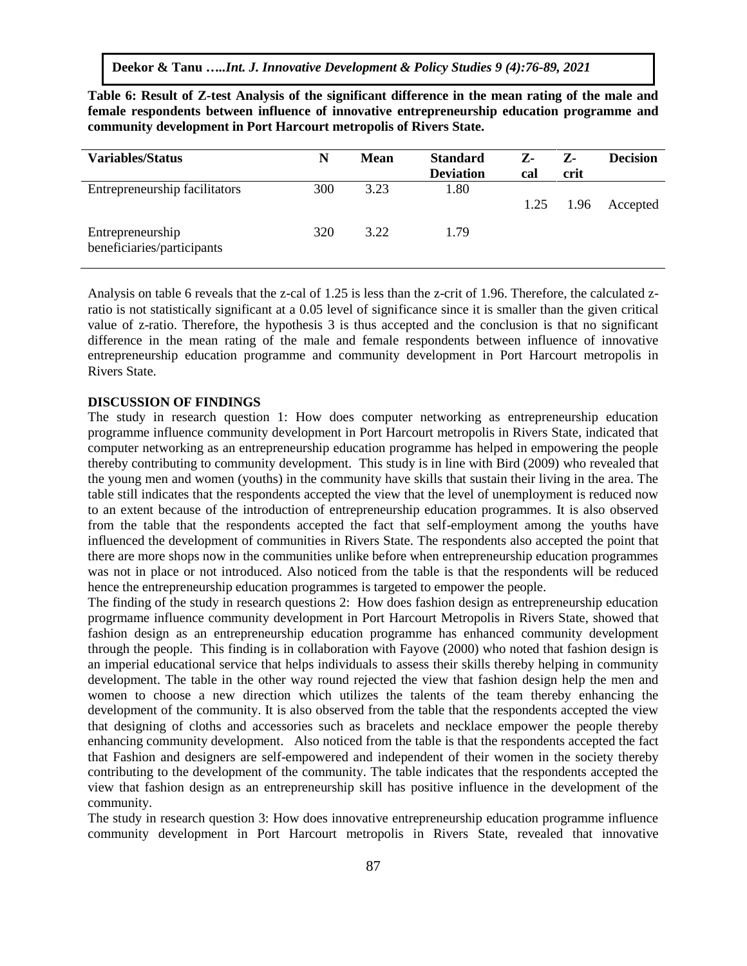| <b>Variables/Status</b>                        | N   | <b>Mean</b> | <b>Standard</b>  | Z-   | Z-   | <b>Decision</b> |
|------------------------------------------------|-----|-------------|------------------|------|------|-----------------|
|                                                |     |             | <b>Deviation</b> | cal  | crit |                 |
| Entrepreneurship facilitators                  | 300 | 3.23        | 1.80             |      |      |                 |
|                                                |     |             |                  | 1.25 | 1.96 | Accepted        |
| Entrepreneurship<br>beneficiaries/participants | 320 | 3.22        | 1.79             |      |      |                 |

**Table 6: Result of Z-test Analysis of the significant difference in the mean rating of the male and female respondents between influence of innovative entrepreneurship education programme and community development in Port Harcourt metropolis of Rivers State.**

Analysis on table 6 reveals that the z-cal of 1.25 is less than the z-crit of 1.96. Therefore, the calculated zratio is not statistically significant at a 0.05 level of significance since it is smaller than the given critical value of z-ratio. Therefore, the hypothesis 3 is thus accepted and the conclusion is that no significant difference in the mean rating of the male and female respondents between influence of innovative entrepreneurship education programme and community development in Port Harcourt metropolis in Rivers State.

#### **DISCUSSION OF FINDINGS**

The study in research question 1: How does computer networking as entrepreneurship education programme influence community development in Port Harcourt metropolis in Rivers State, indicated that computer networking as an entrepreneurship education programme has helped in empowering the people thereby contributing to community development. This study is in line with Bird (2009) who revealed that the young men and women (youths) in the community have skills that sustain their living in the area. The table still indicates that the respondents accepted the view that the level of unemployment is reduced now to an extent because of the introduction of entrepreneurship education programmes. It is also observed from the table that the respondents accepted the fact that self-employment among the youths have influenced the development of communities in Rivers State. The respondents also accepted the point that there are more shops now in the communities unlike before when entrepreneurship education programmes was not in place or not introduced. Also noticed from the table is that the respondents will be reduced hence the entrepreneurship education programmes is targeted to empower the people.

The finding of the study in research questions 2: How does fashion design as entrepreneurship education progrmame influence community development in Port Harcourt Metropolis in Rivers State, showed that fashion design as an entrepreneurship education programme has enhanced community development through the people. This finding is in collaboration with Fayove (2000) who noted that fashion design is an imperial educational service that helps individuals to assess their skills thereby helping in community development. The table in the other way round rejected the view that fashion design help the men and women to choose a new direction which utilizes the talents of the team thereby enhancing the development of the community. It is also observed from the table that the respondents accepted the view that designing of cloths and accessories such as bracelets and necklace empower the people thereby enhancing community development. Also noticed from the table is that the respondents accepted the fact that Fashion and designers are self-empowered and independent of their women in the society thereby contributing to the development of the community. The table indicates that the respondents accepted the view that fashion design as an entrepreneurship skill has positive influence in the development of the community.

The study in research question 3: How does innovative entrepreneurship education programme influence community development in Port Harcourt metropolis in Rivers State, revealed that innovative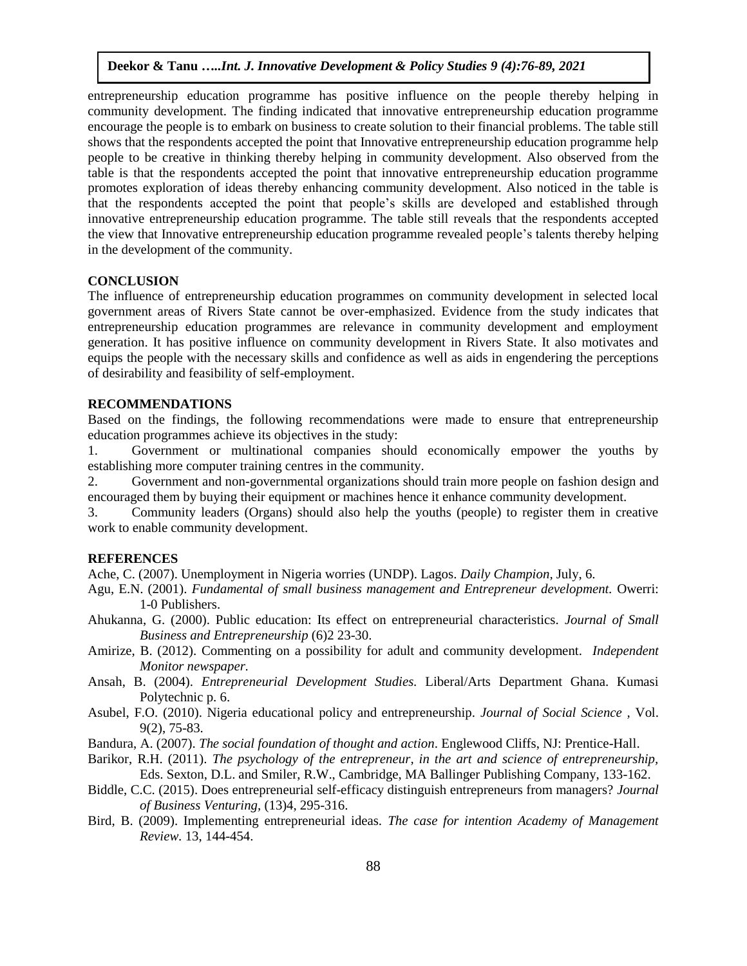entrepreneurship education programme has positive influence on the people thereby helping in community development. The finding indicated that innovative entrepreneurship education programme encourage the people is to embark on business to create solution to their financial problems. The table still shows that the respondents accepted the point that Innovative entrepreneurship education programme help people to be creative in thinking thereby helping in community development. Also observed from the table is that the respondents accepted the point that innovative entrepreneurship education programme promotes exploration of ideas thereby enhancing community development. Also noticed in the table is that the respondents accepted the point that people's skills are developed and established through innovative entrepreneurship education programme. The table still reveals that the respondents accepted the view that Innovative entrepreneurship education programme revealed people's talents thereby helping in the development of the community.

# **CONCLUSION**

The influence of entrepreneurship education programmes on community development in selected local government areas of Rivers State cannot be over-emphasized. Evidence from the study indicates that entrepreneurship education programmes are relevance in community development and employment generation. It has positive influence on community development in Rivers State. It also motivates and equips the people with the necessary skills and confidence as well as aids in engendering the perceptions of desirability and feasibility of self-employment.

# **RECOMMENDATIONS**

Based on the findings, the following recommendations were made to ensure that entrepreneurship education programmes achieve its objectives in the study:

1. Government or multinational companies should economically empower the youths by establishing more computer training centres in the community.

2. Government and non-governmental organizations should train more people on fashion design and encouraged them by buying their equipment or machines hence it enhance community development.

3. Community leaders (Organs) should also help the youths (people) to register them in creative work to enable community development.

# **REFERENCES**

Ache, C. (2007). Unemployment in Nigeria worries (UNDP). Lagos. *Daily Champion,* July, 6.

- Agu, E.N. (2001). *Fundamental of small business management and Entrepreneur development.* Owerri: 1-0 Publishers.
- Ahukanna, G. (2000). Public education: Its effect on entrepreneurial characteristics. *Journal of Small Business and Entrepreneurship* (6)2 23-30.
- Amirize, B. (2012). Commenting on a possibility for adult and community development. *Independent Monitor newspaper.*
- Ansah, B. (2004). *Entrepreneurial Development Studies.* Liberal/Arts Department Ghana. Kumasi Polytechnic p. 6.
- Asubel, F.O. (2010). Nigeria educational policy and entrepreneurship. *Journal of Social Science ,* Vol. 9(2), 75-83.
- Bandura, A. (2007). *The social foundation of thought and action*. Englewood Cliffs, NJ: Prentice-Hall.
- Barikor, R.H. (2011). *The psychology of the entrepreneur, in the art and science of entrepreneurship,* Eds. Sexton, D.L. and Smiler, R.W., Cambridge, MA Ballinger Publishing Company, 133-162.
- Biddle, C.C. (2015). Does entrepreneurial self-efficacy distinguish entrepreneurs from managers? *Journal of Business Venturing,* (13)4, 295-316.
- Bird, B. (2009). Implementing entrepreneurial ideas. *The case for intention Academy of Management Review.* 13, 144-454.